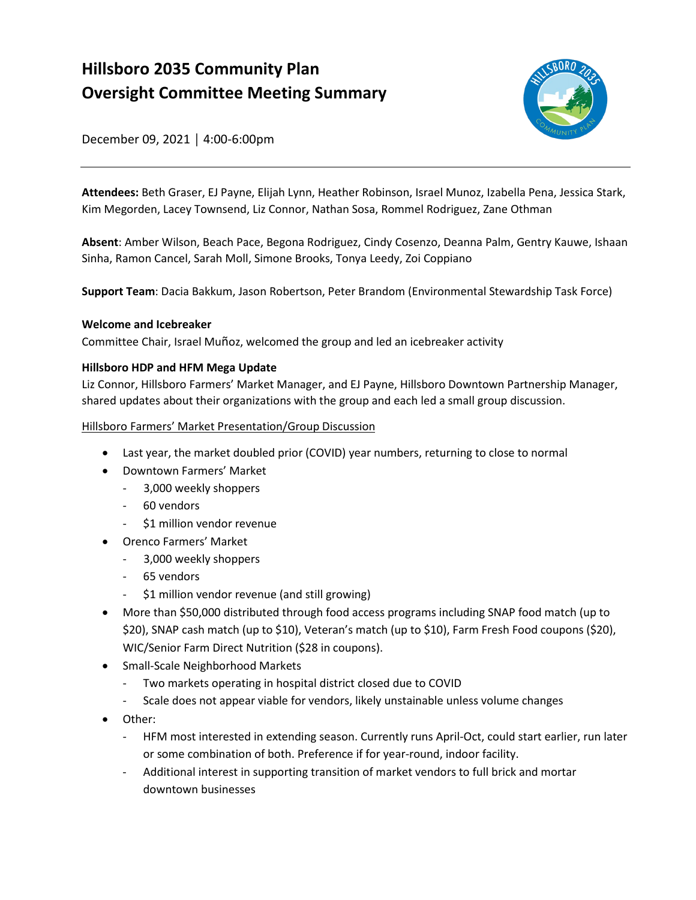# **Hillsboro 2035 Community Plan Oversight Committee Meeting Summary**



December 09, 2021 │ 4:00-6:00pm

 **Attendees:** Beth Graser, EJ Payne, Elijah Lynn, Heather Robinson, Israel Munoz, Izabella Pena, Jessica Stark, Kim Megorden, Lacey Townsend, Liz Connor, Nathan Sosa, Rommel Rodriguez, Zane Othman

**Absent**: Amber Wilson, Beach Pace, Begona Rodriguez, Cindy Cosenzo, Deanna Palm, Gentry Kauwe, Ishaan Sinha, Ramon Cancel, Sarah Moll, Simone Brooks, Tonya Leedy, Zoi Coppiano

**Support Team**: Dacia Bakkum, Jason Robertson, Peter Brandom (Environmental Stewardship Task Force)

#### **Welcome and Icebreaker**

Committee Chair, Israel Muñoz, welcomed the group and led an icebreaker activity

## **Hillsboro HDP and HFM Mega Update**

 Liz Connor, Hillsboro Farmers' Market Manager, and EJ Payne, Hillsboro Downtown Partnership Manager, shared updates about their organizations with the group and each led a small group discussion.

Hillsboro Farmers' Market Presentation/Group Discussion

- Last year, the market doubled prior (COVID) year numbers, returning to close to normal
- Downtown Farmers' Market
	- 3,000 weekly shoppers
	- 60 vendors
	- \$1 million vendor revenue
- Orenco Farmers' Market
	- 3,000 weekly shoppers
	- 65 vendors
	- \$1 million vendor revenue (and still growing)
- • More than \$50,000 distributed through food access programs including SNAP food match (up to \$20), SNAP cash match (up to \$10), Veteran's match (up to \$10), Farm Fresh Food coupons (\$20), WIC/Senior Farm Direct Nutrition (\$28 in coupons).
- Small-Scale Neighborhood Markets
	- Two markets operating in hospital district closed due to COVID
	- Scale does not appear viable for vendors, likely unstainable unless volume changes
- Other:
	- HFM most interested in extending season. Currently runs April-Oct, could start earlier, run later or some combination of both. Preference if for year-round, indoor facility.
	- - Additional interest in supporting transition of market vendors to full brick and mortar downtown businesses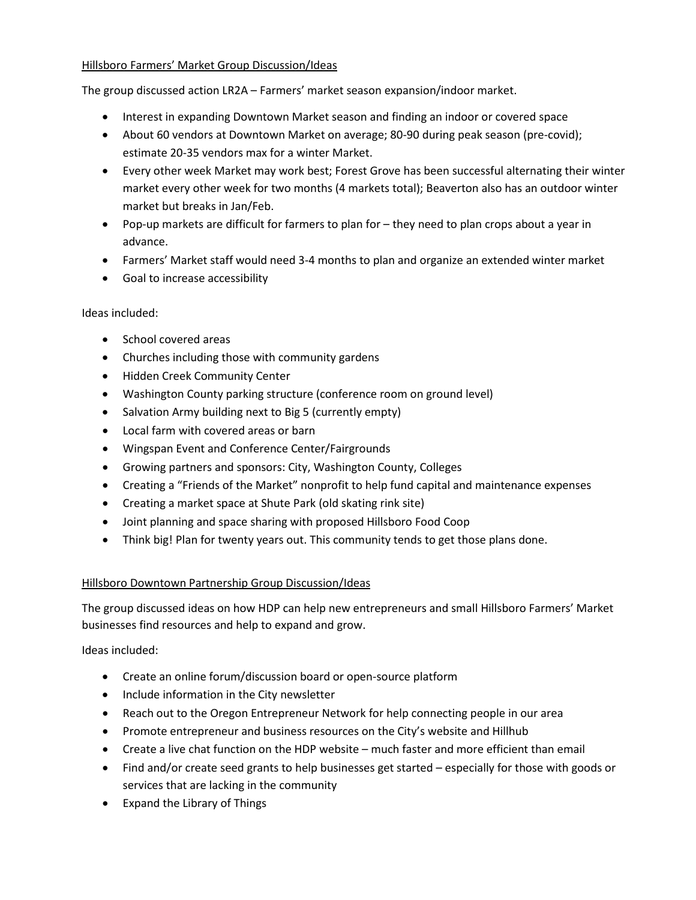#### Hillsboro Farmers' Market Group Discussion/Ideas

The group discussed action LR2A – Farmers' market season expansion/indoor market.

- Interest in expanding Downtown Market season and finding an indoor or covered space
- • About 60 vendors at Downtown Market on average; 80-90 during peak season (pre-covid); estimate 20-35 vendors max for a winter Market.
- • Every other week Market may work best; Forest Grove has been successful alternating their winter market every other week for two months (4 markets total); Beaverton also has an outdoor winter market but breaks in Jan/Feb.
- • Pop-up markets are difficult for farmers to plan for they need to plan crops about a year in advance.
- Farmers' Market staff would need 3-4 months to plan and organize an extended winter market
- Goal to increase accessibility

#### Ideas included:

- School covered areas
- Churches including those with community gardens
- Hidden Creek Community Center
- Washington County parking structure (conference room on ground level)
- Salvation Army building next to Big 5 (currently empty)
- Local farm with covered areas or barn
- Wingspan Event and Conference Center/Fairgrounds
- Growing partners and sponsors: City, Washington County, Colleges
- Creating a "Friends of the Market" nonprofit to help fund capital and maintenance expenses
- Creating a market space at Shute Park (old skating rink site)
- Joint planning and space sharing with proposed Hillsboro Food Coop
- Think big! Plan for twenty years out. This community tends to get those plans done.

## Hillsboro Downtown Partnership Group Discussion/Ideas

 The group discussed ideas on how HDP can help new entrepreneurs and small Hillsboro Farmers' Market businesses find resources and help to expand and grow.

Ideas included:

- Create an online forum/discussion board or open-source platform
- Include information in the City newsletter
- Reach out to the Oregon Entrepreneur Network for help connecting people in our area
- Promote entrepreneur and business resources on the City's website and Hillhub
- Create a live chat function on the HDP website much faster and more efficient than email
- Find and/or create seed grants to help businesses get started especially for those with goods or services that are lacking in the community
- Expand the Library of Things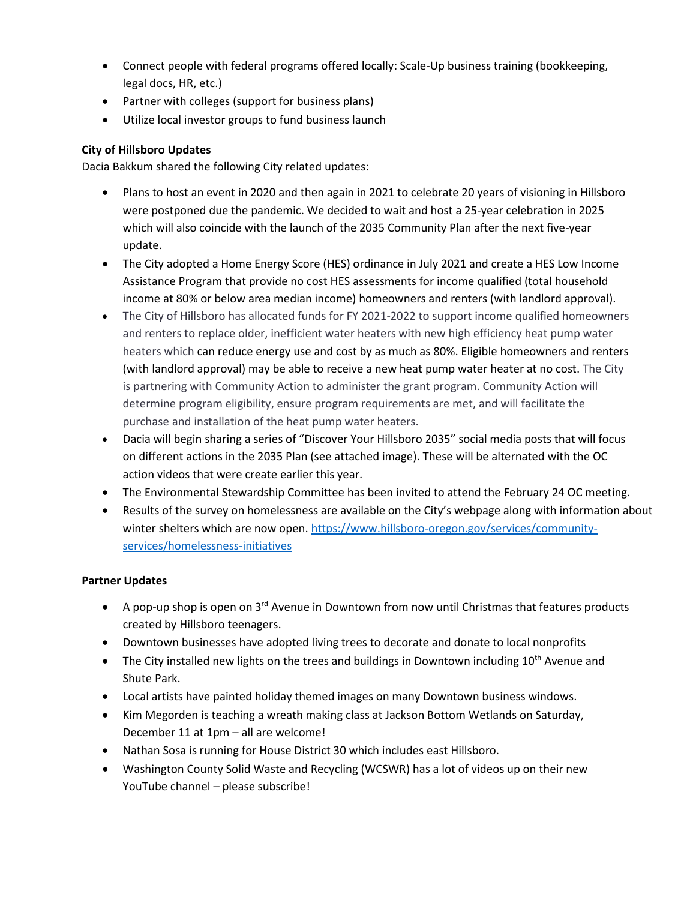- Connect people with federal programs offered locally: Scale-Up business training (bookkeeping, legal docs, HR, etc.)
- Partner with colleges (support for business plans)
- Utilize local investor groups to fund business launch

#### **City of Hillsboro Updates**

Dacia Bakkum shared the following City related updates:

- • Plans to host an event in 2020 and then again in 2021 to celebrate 20 years of visioning in Hillsboro were postponed due the pandemic. We decided to wait and host a 25-year celebration in 2025 which will also coincide with the launch of the 2035 Community Plan after the next five-year update.
- • The City adopted a Home Energy Score (HES) ordinance in July 2021 and create a HES Low Income Assistance Program that provide no cost HES assessments for income qualified (total household income at 80% or below area median income) homeowners and renters (with landlord approval).
- and renters to replace older, inefficient water heaters with new high efficiency heat pump water heaters which can reduce energy use and cost by as much as 80%. Eligible homeowners and renters (with landlord approval) may be able to receive a new heat pump water heater at no cost. The City is partnering with Community Action to administer the grant program. Community Action will determine program eligibility, ensure program requirements are met, and will facilitate the • The City of Hillsboro has allocated funds for FY 2021-2022 to support income qualified homeowners purchase and installation of the heat pump water heaters.
- • Dacia will begin sharing a series of "Discover Your Hillsboro 2035" social media posts that will focus on different actions in the 2035 Plan (see attached image). These will be alternated with the OC action videos that were create earlier this year.
- The Environmental Stewardship Committee has been invited to attend the February 24 OC meeting.
- • Results of the survey on homelessness are available on the City's webpage along with information about winter shelters which are now open[. https://www.hillsboro-oregon.gov/services/community](https://www.hillsboro-oregon.gov/services/community-services/homelessness-initiatives)[services/homelessness-initiatives](https://www.hillsboro-oregon.gov/services/community-services/homelessness-initiatives)

#### **Partner Updates**

- A pop-up shop is open on  $3^{rd}$  Avenue in Downtown from now until Christmas that features products created by Hillsboro teenagers.
- Downtown businesses have adopted living trees to decorate and donate to local nonprofits
- The City installed new lights on the trees and buildings in Downtown including  $10^{th}$  Avenue and Shute Park.
- Local artists have painted holiday themed images on many Downtown business windows.
- Kim Megorden is teaching a wreath making class at Jackson Bottom Wetlands on Saturday, December 11 at 1pm – all are welcome!
- Nathan Sosa is running for House District 30 which includes east Hillsboro.
- • Washington County Solid Waste and Recycling (WCSWR) has a lot of videos up on their new YouTube channel – please subscribe!